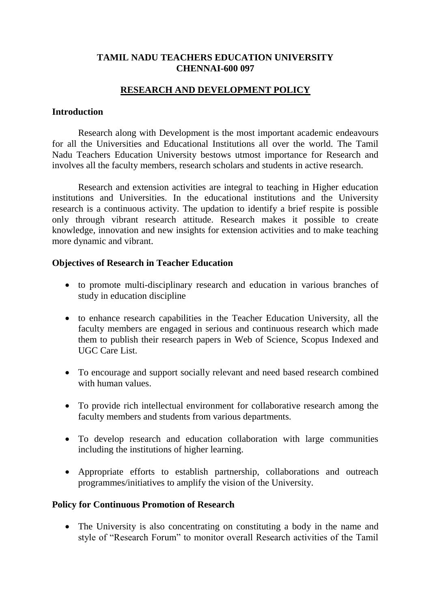# **TAMIL NADU TEACHERS EDUCATION UNIVERSITY CHENNAI-600 097**

# **RESEARCH AND DEVELOPMENT POLICY**

### **Introduction**

Research along with Development is the most important academic endeavours for all the Universities and Educational Institutions all over the world. The Tamil Nadu Teachers Education University bestows utmost importance for Research and involves all the faculty members, research scholars and students in active research.

Research and extension activities are integral to teaching in Higher education institutions and Universities. In the educational institutions and the University research is a continuous activity. The updation to identify a brief respite is possible only through vibrant research attitude. Research makes it possible to create knowledge, innovation and new insights for extension activities and to make teaching more dynamic and vibrant.

## **Objectives of Research in Teacher Education**

- to promote multi-disciplinary research and education in various branches of study in education discipline
- to enhance research capabilities in the Teacher Education University, all the faculty members are engaged in serious and continuous research which made them to publish their research papers in Web of Science, Scopus Indexed and UGC Care List.
- To encourage and support socially relevant and need based research combined with human values.
- To provide rich intellectual environment for collaborative research among the faculty members and students from various departments.
- To develop research and education collaboration with large communities including the institutions of higher learning.
- Appropriate efforts to establish partnership, collaborations and outreach programmes/initiatives to amplify the vision of the University.

## **Policy for Continuous Promotion of Research**

• The University is also concentrating on constituting a body in the name and style of "Research Forum" to monitor overall Research activities of the Tamil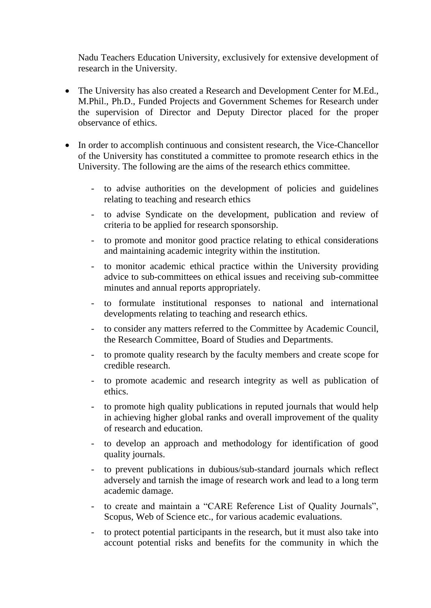Nadu Teachers Education University, exclusively for extensive development of research in the University.

- The University has also created a Research and Development Center for M.Ed., M.Phil., Ph.D., Funded Projects and Government Schemes for Research under the supervision of Director and Deputy Director placed for the proper observance of ethics.
- In order to accomplish continuous and consistent research, the Vice-Chancellor of the University has constituted a committee to promote research ethics in the University. The following are the aims of the research ethics committee.
	- to advise authorities on the development of policies and guidelines relating to teaching and research ethics
	- to advise Syndicate on the development, publication and review of criteria to be applied for research sponsorship.
	- to promote and monitor good practice relating to ethical considerations and maintaining academic integrity within the institution.
	- to monitor academic ethical practice within the University providing advice to sub-committees on ethical issues and receiving sub-committee minutes and annual reports appropriately.
	- to formulate institutional responses to national and international developments relating to teaching and research ethics.
	- to consider any matters referred to the Committee by Academic Council, the Research Committee, Board of Studies and Departments.
	- to promote quality research by the faculty members and create scope for credible research.
	- to promote academic and research integrity as well as publication of ethics.
	- to promote high quality publications in reputed journals that would help in achieving higher global ranks and overall improvement of the quality of research and education.
	- to develop an approach and methodology for identification of good quality journals.
	- to prevent publications in dubious/sub-standard journals which reflect adversely and tarnish the image of research work and lead to a long term academic damage.
	- to create and maintain a "CARE Reference List of Quality Journals", Scopus, Web of Science etc., for various academic evaluations.
	- to protect potential participants in the research, but it must also take into account potential risks and benefits for the community in which the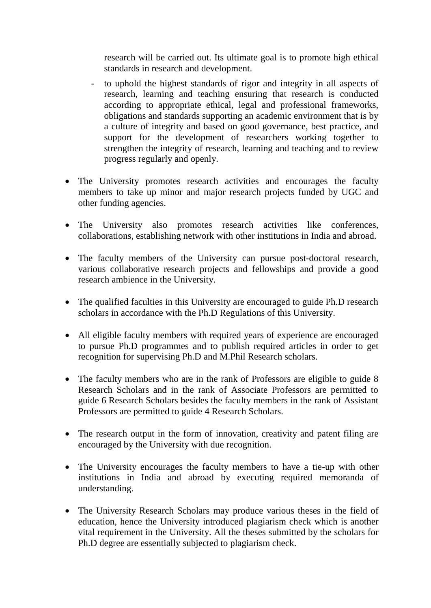research will be carried out. Its ultimate goal is to promote high ethical standards in research and development.

- to uphold the highest standards of rigor and integrity in all aspects of research, learning and teaching ensuring that research is conducted according to appropriate ethical, legal and professional frameworks, obligations and standards supporting an academic environment that is by a culture of integrity and based on good governance, best practice, and support for the development of researchers working together to strengthen the integrity of research, learning and teaching and to review progress regularly and openly.
- The University promotes research activities and encourages the faculty members to take up minor and major research projects funded by UGC and other funding agencies.
- The University also promotes research activities like conferences, collaborations, establishing network with other institutions in India and abroad.
- The faculty members of the University can pursue post-doctoral research, various collaborative research projects and fellowships and provide a good research ambience in the University.
- The qualified faculties in this University are encouraged to guide Ph.D research scholars in accordance with the Ph.D Regulations of this University.
- All eligible faculty members with required years of experience are encouraged to pursue Ph.D programmes and to publish required articles in order to get recognition for supervising Ph.D and M.Phil Research scholars.
- The faculty members who are in the rank of Professors are eligible to guide 8 Research Scholars and in the rank of Associate Professors are permitted to guide 6 Research Scholars besides the faculty members in the rank of Assistant Professors are permitted to guide 4 Research Scholars.
- The research output in the form of innovation, creativity and patent filing are encouraged by the University with due recognition.
- The University encourages the faculty members to have a tie-up with other institutions in India and abroad by executing required memoranda of understanding.
- The University Research Scholars may produce various theses in the field of education, hence the University introduced plagiarism check which is another vital requirement in the University. All the theses submitted by the scholars for Ph.D degree are essentially subjected to plagiarism check.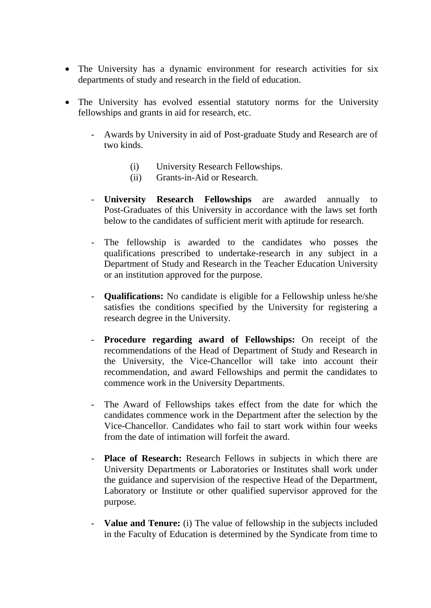- The University has a dynamic environment for research activities for six departments of study and research in the field of education.
- The University has evolved essential statutory norms for the University fellowships and grants in aid for research, etc.
	- Awards by University in aid of Post-graduate Study and Research are of two kinds.
		- (i) University Research Fellowships.
		- (ii) Grants-in-Aid or Research.
	- **University Research Fellowships** are awarded annually to Post-Graduates of this University in accordance with the laws set forth below to the candidates of sufficient merit with aptitude for research.
	- The fellowship is awarded to the candidates who posses the qualifications prescribed to undertake-research in any subject in a Department of Study and Research in the Teacher Education University or an institution approved for the purpose.
	- **Qualifications:** No candidate is eligible for a Fellowship unless he/she satisfies the conditions specified by the University for registering a research degree in the University.
	- **Procedure regarding award of Fellowships:** On receipt of the recommendations of the Head of Department of Study and Research in the University, the Vice-Chancellor will take into account their recommendation, and award Fellowships and permit the candidates to commence work in the University Departments.
	- The Award of Fellowships takes effect from the date for which the candidates commence work in the Department after the selection by the Vice-Chancellor. Candidates who fail to start work within four weeks from the date of intimation will forfeit the award.
	- Place of Research: Research Fellows in subjects in which there are University Departments or Laboratories or Institutes shall work under the guidance and supervision of the respective Head of the Department, Laboratory or Institute or other qualified supervisor approved for the purpose.
	- **Value and Tenure:** (i) The value of fellowship in the subjects included in the Faculty of Education is determined by the Syndicate from time to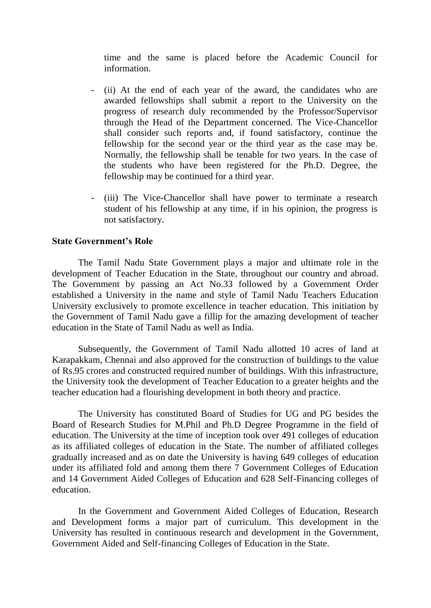time and the same is placed before the Academic Council for information.

- (ii) At the end of each year of the award, the candidates who are awarded fellowships shall submit a report to the University on the progress of research duly recommended by the Professor/Supervisor through the Head of the Department concerned. The Vice-Chancellor shall consider such reports and, if found satisfactory, continue the fellowship for the second year or the third year as the case may be. Normally, the fellowship shall be tenable for two years. In the case of the students who have been registered for the Ph.D. Degree, the fellowship may be continued for a third year.
- (iii) The Vice-Chancellor shall have power to terminate a research student of his fellowship at any time, if in his opinion, the progress is not satisfactory.

#### **State Government's Role**

The Tamil Nadu State Government plays a major and ultimate role in the development of Teacher Education in the State, throughout our country and abroad. The Government by passing an Act No.33 followed by a Government Order established a University in the name and style of Tamil Nadu Teachers Education University exclusively to promote excellence in teacher education. This initiation by the Government of Tamil Nadu gave a fillip for the amazing development of teacher education in the State of Tamil Nadu as well as India.

Subsequently, the Government of Tamil Nadu allotted 10 acres of land at Karapakkam, Chennai and also approved for the construction of buildings to the value of Rs.95 crores and constructed required number of buildings. With this infrastructure, the University took the development of Teacher Education to a greater heights and the teacher education had a flourishing development in both theory and practice.

The University has constituted Board of Studies for UG and PG besides the Board of Research Studies for M.Phil and Ph.D Degree Programme in the field of education. The University at the time of inception took over 491 colleges of education as its affiliated colleges of education in the State. The number of affiliated colleges gradually increased and as on date the University is having 649 colleges of education under its affiliated fold and among them there 7 Government Colleges of Education and 14 Government Aided Colleges of Education and 628 Self-Financing colleges of education.

In the Government and Government Aided Colleges of Education, Research and Development forms a major part of curriculum. This development in the University has resulted in continuous research and development in the Government, Government Aided and Self-financing Colleges of Education in the State.